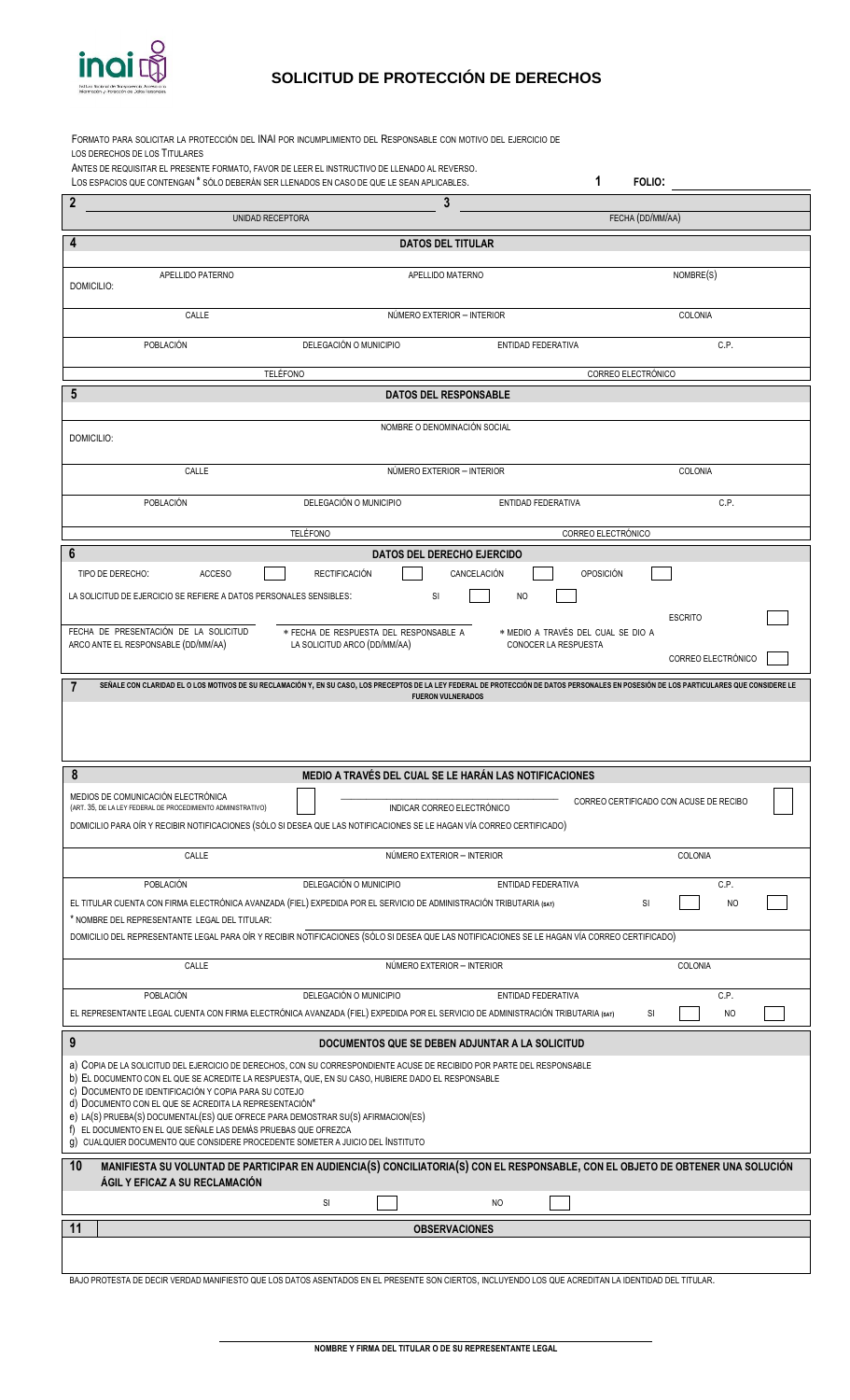

## **SOLICITUD DE PROTECCIÓN DE DERECHOS**

| FORMATO PARA SOLICITAR LA PROTECCIÓN DEL INAI POR INCUMPLIMIENTO DEL RESPONSABLE CON MOTIVO DEL EJERCICIO DE                                                                                                                                                                                                                                                                                                                                                                                                                                                                           |                                                                                |                                                            |                                        |
|----------------------------------------------------------------------------------------------------------------------------------------------------------------------------------------------------------------------------------------------------------------------------------------------------------------------------------------------------------------------------------------------------------------------------------------------------------------------------------------------------------------------------------------------------------------------------------------|--------------------------------------------------------------------------------|------------------------------------------------------------|----------------------------------------|
| LOS DERECHOS DE LOS TITULARES<br>ANTES DE REQUISITAR EL PRESENTE FORMATO, FAVOR DE LEER EL INSTRUCTIVO DE LLENADO AL REVERSO.<br>LOS ESPACIOS QUE CONTENGAN * SÓLO DEBERÁN SER LLENADOS EN CASO DE QUE LE SEAN APLICABLES.                                                                                                                                                                                                                                                                                                                                                             |                                                                                | 1                                                          | FOLIO:                                 |
| $\overline{2}$                                                                                                                                                                                                                                                                                                                                                                                                                                                                                                                                                                         | 3                                                                              |                                                            |                                        |
| UNIDAD RECEPTORA                                                                                                                                                                                                                                                                                                                                                                                                                                                                                                                                                                       |                                                                                |                                                            | FECHA (DD/MM/AA)                       |
| 4                                                                                                                                                                                                                                                                                                                                                                                                                                                                                                                                                                                      | <b>DATOS DEL TITULAR</b>                                                       |                                                            |                                        |
| APELLIDO PATERNO<br>DOMICILIO:                                                                                                                                                                                                                                                                                                                                                                                                                                                                                                                                                         | APELLIDO MATERNO                                                               |                                                            | NOMBRE(S)                              |
| CALLE                                                                                                                                                                                                                                                                                                                                                                                                                                                                                                                                                                                  | NÚMERO EXTERIOR - INTERIOR                                                     |                                                            | COLONIA                                |
| POBLACIÓN                                                                                                                                                                                                                                                                                                                                                                                                                                                                                                                                                                              | DELEGACIÓN O MUNICIPIO                                                         | ENTIDAD FEDERATIVA                                         | C.P.                                   |
| <b>TELÉFONO</b>                                                                                                                                                                                                                                                                                                                                                                                                                                                                                                                                                                        |                                                                                | CORREO ELECTRÓNICO                                         |                                        |
| 5                                                                                                                                                                                                                                                                                                                                                                                                                                                                                                                                                                                      | <b>DATOS DEL RESPONSABLE</b>                                                   |                                                            |                                        |
| DOMICILIO:                                                                                                                                                                                                                                                                                                                                                                                                                                                                                                                                                                             | NOMBRE O DENOMINACIÓN SOCIAL                                                   |                                                            |                                        |
| CALLE                                                                                                                                                                                                                                                                                                                                                                                                                                                                                                                                                                                  | NÚMERO EXTERIOR - INTERIOR                                                     |                                                            | COLONIA                                |
| <b>POBLACIÓN</b>                                                                                                                                                                                                                                                                                                                                                                                                                                                                                                                                                                       | DELEGACIÓN O MUNICIPIO                                                         | ENTIDAD FEDERATIVA                                         | C.P.                                   |
|                                                                                                                                                                                                                                                                                                                                                                                                                                                                                                                                                                                        | <b>TELÉFONO</b>                                                                | CORREO ELECTRÓNICO                                         |                                        |
| 6<br>TIPO DE DERECHO:<br><b>ACCESO</b><br>LA SOLICITUD DE EJERCICIO SE REFIERE A DATOS PERSONALES SENSIBLES:                                                                                                                                                                                                                                                                                                                                                                                                                                                                           | <b>DATOS DEL DERECHO EJERCIDO</b><br><b>RECTIFICACIÓN</b><br>CANCELACIÓN<br>SI | OPOSICIÓN<br>NO                                            |                                        |
| FECHA DE PRESENTACIÓN DE LA SOLICITUD<br>ARCO ANTE EL RESPONSABLE (DD/MM/AA)                                                                                                                                                                                                                                                                                                                                                                                                                                                                                                           | * FECHA DE RESPUESTA DEL RESPONSABLE A<br>LA SOLICITUD ARCO (DD/MM/AA)         | * MEDIO A TRAVÉS DEL CUAL SE DIO A<br>CONOCER LA RESPUESTA | <b>ESCRITO</b><br>CORREO ELECTRÓNICO   |
|                                                                                                                                                                                                                                                                                                                                                                                                                                                                                                                                                                                        |                                                                                |                                                            |                                        |
| SEÑALE CON CLARIDAD EL O LOS MOTIVOS DE SU RECLAMACIÓN Y, EN SU CASO, LOS PRECEPTOS DE LA LEY FEDERAL DE PROTECCIÓN DE DATOS PERSONALES EN POSESIÓN DE LOS PARTICULARES QUE CONSIDERE LE<br>7                                                                                                                                                                                                                                                                                                                                                                                          |                                                                                |                                                            |                                        |
|                                                                                                                                                                                                                                                                                                                                                                                                                                                                                                                                                                                        | <b>FUERON VULNERADOS</b>                                                       |                                                            |                                        |
| 8                                                                                                                                                                                                                                                                                                                                                                                                                                                                                                                                                                                      | MEDIO A TRAVÉS DEL CUAL SE LE HARÁN LAS NOTIFICACIONES                         |                                                            |                                        |
| MEDIOS DE COMUNICACIÓN ELECTRÓNICA<br>(ART. 35, DE LA LEY FEDERAL DE PROCEDIMIENTO ADMINISTRATIVO)<br>DOMICILIO PARA OÍR Y RECIBIR NOTIFICACIONES (SÓLO SI DESEA QUE LAS NOTIFICACIONES SE LE HAGAN VÍA CORREO CERTIFICADO)                                                                                                                                                                                                                                                                                                                                                            | INDICAR CORREO ELECTRÓNICO                                                     |                                                            | CORREO CERTIFICADO CON ACUSE DE RECIBO |
| CALLE                                                                                                                                                                                                                                                                                                                                                                                                                                                                                                                                                                                  | NÚMERO EXTERIOR - INTERIOR                                                     |                                                            | COLONIA                                |
| <b>POBLACIÓN</b><br>EL TITULAR CUENTA CON FIRMA ELECTRÓNICA AVANZADA (FIEL) EXPEDIDA POR EL SERVICIO DE ADMINISTRACIÓN TRIBUTARIA (8AT)<br>* NOMBRE DEL REPRESENTANTE LEGAL DEL TITULAR:                                                                                                                                                                                                                                                                                                                                                                                               | DELEGACIÓN O MUNICIPIO                                                         | ENTIDAD FEDERATIVA                                         | C.P.<br>SI<br>N <sub>O</sub>           |
| DOMICILIO DEL REPRESENTANTE LEGAL PARA OÍR Y RECIBIR NOTIFICACIONES (SÓLO SI DESEA QUE LAS NOTIFICACIONES SE LE HAGAN VÍA CORREO CERTIFICADO)                                                                                                                                                                                                                                                                                                                                                                                                                                          |                                                                                |                                                            |                                        |
| CALLE                                                                                                                                                                                                                                                                                                                                                                                                                                                                                                                                                                                  | NÚMERO EXTERIOR - INTERIOR                                                     |                                                            | COLONIA                                |
| POBLACIÓN<br>EL REPRESENTANTE LEGAL CUENTA CON FIRMA ELECTRÓNICA AVANZADA (FIEL) EXPEDIDA POR EL SERVICIO DE ADMINISTRACIÓN TRIBUTARIA (8AT)                                                                                                                                                                                                                                                                                                                                                                                                                                           | DELEGACIÓN O MUNICIPIO                                                         | ENTIDAD FEDERATIVA                                         | C.P.<br>N <sub>O</sub><br>SI           |
| 9                                                                                                                                                                                                                                                                                                                                                                                                                                                                                                                                                                                      | DOCUMENTOS QUE SE DEBEN ADJUNTAR A LA SOLICITUD                                |                                                            |                                        |
| a) COPIA DE LA SOLICITUD DEL EJERCICIO DE DERECHOS, CON SU CORRESPONDIENTE ACUSE DE RECIBIDO POR PARTE DEL RESPONSABLE<br>b) EL DOCUMENTO CON EL QUE SE ACREDITE LA RESPUESTA, QUE, EN SU CASO, HUBIERE DADO EL RESPONSABLE<br>c) DOCUMENTO DE IDENTIFICACIÓN Y COPIA PARA SU COTEJO<br>d) DOCUMENTO CON EL QUE SE ACREDITA LA REPRESENTACIÓN*<br>e) LA(S) PRUEBA(S) DOCUMENTAL(ES) QUE OFRECE PARA DEMOSTRAR SU(S) AFIRMACION(ES)<br>f) EL DOCUMENTO EN EL QUE SEÑALE LAS DEMÁS PRUEBAS QUE OFREZCA<br>g) CUALQUIER DOCUMENTO QUE CONSIDERE PROCEDENTE SOMETER A JUICIO DEL INSTITUTO |                                                                                |                                                            |                                        |
| MANIFIESTA SU VOLUNTAD DE PARTICIPAR EN AUDIENCIA(S) CONCILIATORIA(S) CON EL RESPONSABLE, CON EL OBJETO DE OBTENER UNA SOLUCIÓN<br>10<br>ÁGIL Y EFICAZ A SU RECLAMACIÓN                                                                                                                                                                                                                                                                                                                                                                                                                |                                                                                |                                                            |                                        |
|                                                                                                                                                                                                                                                                                                                                                                                                                                                                                                                                                                                        | SI                                                                             | NO.                                                        |                                        |

BAJO PROTESTA DE DECIR VERDAD MANIFIESTO QUE LOS DATOS ASENTADOS EN EL PRESENTE SON CIERTOS, INCLUYENDO LOS QUE ACREDITAN LA IDENTIDAD DEL TITULAR.